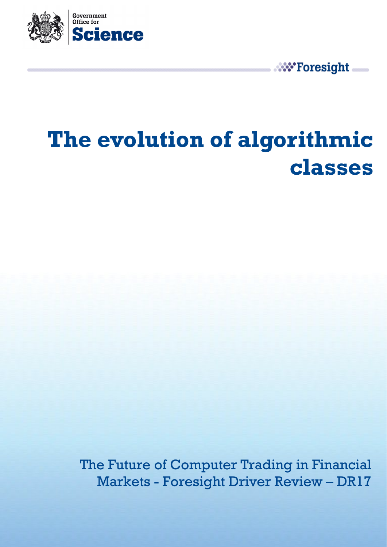

**W** Foresight

# **The evolution of algorithmic classes**

The Future of Computer Trading in Financial Markets - Foresight Driver Review – DR17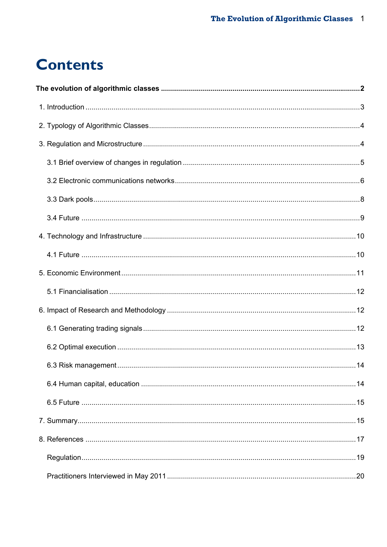## **Contents**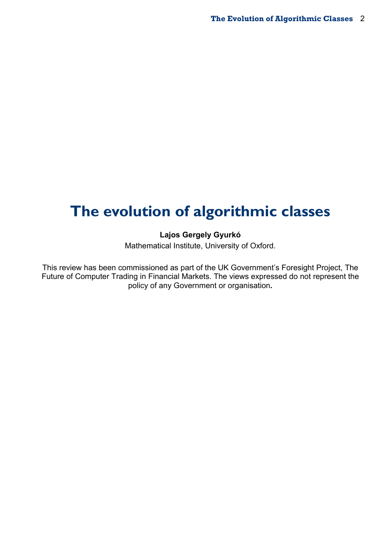## <span id="page-2-0"></span>**The evolution of algorithmic classes**

## **Lajos Gergely Gyurkó**

Mathematical Institute, University of Oxford.

This review has been commissioned as part of the UK Government's Foresight Project, The Future of Computer Trading in Financial Markets. The views expressed do not represent the policy of any Government or organisation**.**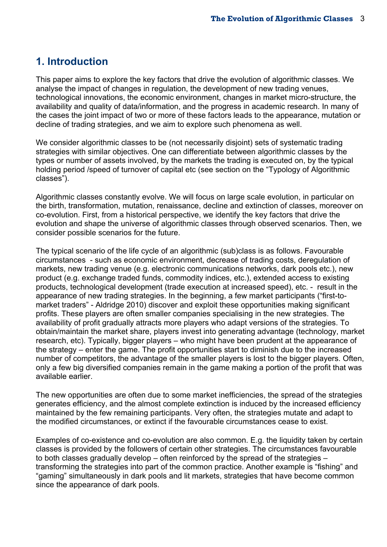## <span id="page-3-0"></span>**1. Introduction**

This paper aims to explore the key factors that drive the evolution of algorithmic classes. We analyse the impact of changes in regulation, the development of new trading venues, technological innovations, the economic environment, changes in market micro-structure, the availability and quality of data/information, and the progress in academic research. In many of the cases the joint impact of two or more of these factors leads to the appearance, mutation or decline of trading strategies, and we aim to explore such phenomena as well.

We consider algorithmic classes to be (not necessarily disjoint) sets of systematic trading strategies with similar objectives. One can differentiate between algorithmic classes by the types or number of assets involved, by the markets the trading is executed on, by the typical holding period /speed of turnover of capital etc (see section on the "Typology of Algorithmic classes").

Algorithmic classes constantly evolve. We will focus on large scale evolution, in particular on the birth, transformation, mutation, renaissance, decline and extinction of classes, moreover on co-evolution. First, from a historical perspective, we identify the key factors that drive the evolution and shape the universe of algorithmic classes through observed scenarios. Then, we consider possible scenarios for the future.

The typical scenario of the life cycle of an algorithmic (sub)class is as follows. Favourable circumstances - such as economic environment, decrease of trading costs, deregulation of markets, new trading venue (e.g. electronic communications networks, dark pools etc.), new product (e.g. exchange traded funds, commodity indices, etc.), extended access to existing products, technological development (trade execution at increased speed), etc. - result in the appearance of new trading strategies. In the beginning, a few market participants ("first-tomarket traders" - Aldridge 2010) discover and exploit these opportunities making significant profits. These players are often smaller companies specialising in the new strategies. The availability of profit gradually attracts more players who adapt versions of the strategies. To obtain/maintain the market share, players invest into generating advantage (technology, market research, etc). Typically, bigger players – who might have been prudent at the appearance of the strategy – enter the game. The profit opportunities start to diminish due to the increased number of competitors, the advantage of the smaller players is lost to the bigger players. Often, only a few big diversified companies remain in the game making a portion of the profit that was available earlier.

The new opportunities are often due to some market inefficiencies, the spread of the strategies generates efficiency, and the almost complete extinction is induced by the increased efficiency maintained by the few remaining participants. Very often, the strategies mutate and adapt to the modified circumstances, or extinct if the favourable circumstances cease to exist.

Examples of co-existence and co-evolution are also common. E.g. the liquidity taken by certain classes is provided by the followers of certain other strategies. The circumstances favourable to both classes gradually develop – often reinforced by the spread of the strategies – transforming the strategies into part of the common practice. Another example is "fishing" and "gaming" simultaneously in dark pools and lit markets, strategies that have become common since the appearance of dark pools.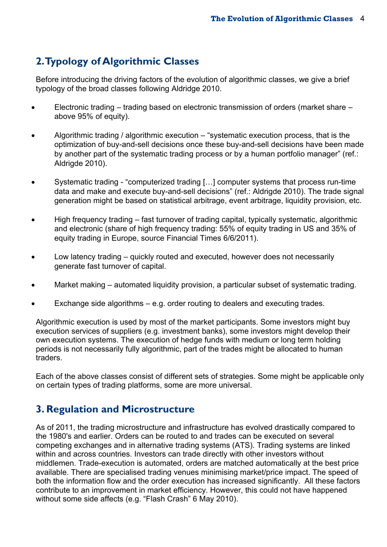## <span id="page-4-0"></span>**2. Typology of Algorithmic Classes**

Before introducing the driving factors of the evolution of algorithmic classes, we give a brief typology of the broad classes following Aldridge 2010.

- Electronic trading trading based on electronic transmission of orders (market share above 95% of equity).
- Algorithmic trading / algorithmic execution "systematic execution process, that is the optimization of buy-and-sell decisions once these buy-and-sell decisions have been made by another part of the systematic trading process or by a human portfolio manager" (ref.: Aldrigde 2010).
- Systematic trading "computerized trading […] computer systems that process run-time data and make and execute buy-and-sell decisions" (ref.: Aldrigde 2010). The trade signal generation might be based on statistical arbitrage, event arbitrage, liquidity provision, etc.
- High frequency trading fast turnover of trading capital, typically systematic, algorithmic and electronic (share of high frequency trading: 55% of equity trading in US and 35% of equity trading in Europe, source Financial Times 6/6/2011).
- Low latency trading quickly routed and executed, however does not necessarily generate fast turnover of capital.
- Market making automated liquidity provision, a particular subset of systematic trading.
- Exchange side algorithms e.g. order routing to dealers and executing trades.

Algorithmic execution is used by most of the market participants. Some investors might buy execution services of suppliers (e.g. investment banks), some investors might develop their own execution systems. The execution of hedge funds with medium or long term holding periods is not necessarily fully algorithmic, part of the trades might be allocated to human traders.

Each of the above classes consist of different sets of strategies. Some might be applicable only on certain types of trading platforms, some are more universal.

## <span id="page-4-1"></span>**3. Regulation and Microstructure**

As of 2011, the trading microstructure and infrastructure has evolved drastically compared to the 1980's and earlier. Orders can be routed to and trades can be executed on several competing exchanges and in alternative trading systems (ATS). Trading systems are linked within and across countries. Investors can trade directly with other investors without middlemen. Trade-execution is automated, orders are matched automatically at the best price available. There are specialised trading venues minimising market/price impact. The speed of both the information flow and the order execution has increased significantly. All these factors contribute to an improvement in market efficiency. However, this could not have happened without some side affects (e.g. "Flash Crash" 6 May 2010).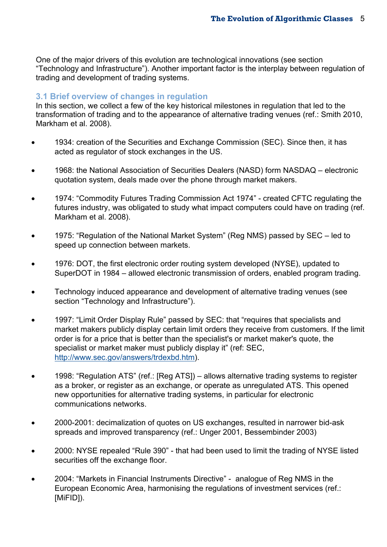One of the major drivers of this evolution are technological innovations (see section "Technology and Infrastructure"). Another important factor is the interplay between regulation of trading and development of trading systems.

## <span id="page-5-0"></span>**3.1 Brief overview of changes in regulation**

In this section, we collect a few of the key historical milestones in regulation that led to the transformation of trading and to the appearance of alternative trading venues (ref.: Smith 2010, Markham et al. 2008).

- 1934: creation of the Securities and Exchange Commission (SEC). Since then, it has acted as regulator of stock exchanges in the US.
- 1968: the National Association of Securities Dealers (NASD) form NASDAQ electronic quotation system, deals made over the phone through market makers.
- 1974: "Commodity Futures Trading Commission Act 1974" created CFTC regulating the futures industry, was obligated to study what impact computers could have on trading (ref. Markham et al. 2008).
- 1975: "Regulation of the National Market System" (Reg NMS) passed by SEC led to speed up connection between markets.
- 1976: DOT, the first electronic order routing system developed (NYSE), updated to SuperDOT in 1984 – allowed electronic transmission of orders, enabled program trading.
- Technology induced appearance and development of alternative trading venues (see section "Technology and Infrastructure").
- 1997: "Limit Order Display Rule" passed by SEC: that "requires that specialists and market makers publicly display certain limit orders they receive from customers. If the limit order is for a price that is better than the specialist's or market maker's quote, the specialist or market maker must publicly display it" (ref: SEC, [http://www.sec.gov/answers/trdexbd.htm\)](http://www.sec.gov/answers/trdexbd.htm).
- 1998: "Regulation ATS" (ref.: [Reg ATS]) allows alternative trading systems to register as a broker, or register as an exchange, or operate as unregulated ATS. This opened new opportunities for alternative trading systems, in particular for electronic communications networks.
- 2000-2001: decimalization of quotes on US exchanges, resulted in narrower bid-ask spreads and improved transparency (ref.: Unger 2001, Bessembinder 2003)
- 2000: NYSE repealed "Rule 390" that had been used to limit the trading of NYSE listed securities off the exchange floor.
- 2004: "Markets in Financial Instruments Directive" analogue of Reg NMS in the European Economic Area, harmonising the regulations of investment services (ref.: [MiFID]).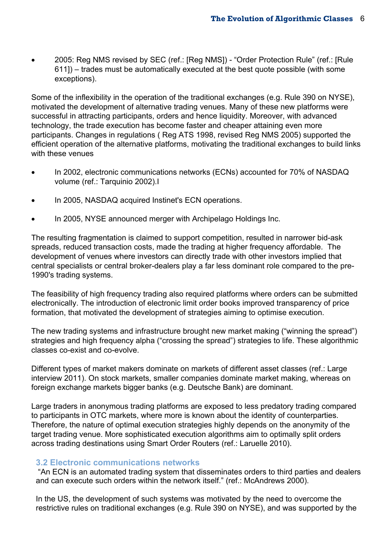2005: Reg NMS revised by SEC (ref.: [Reg NMS]) - "Order Protection Rule" (ref.: [Rule 611]) – trades must be automatically executed at the best quote possible (with some exceptions).

Some of the inflexibility in the operation of the traditional exchanges (e.g. Rule 390 on NYSE), motivated the development of alternative trading venues. Many of these new platforms were successful in attracting participants, orders and hence liquidity. Moreover, with advanced technology, the trade execution has become faster and cheaper attaining even more participants. Changes in regulations ( Reg ATS 1998, revised Reg NMS 2005) supported the efficient operation of the alternative platforms, motivating the traditional exchanges to build links with these venues

- In 2002, electronic communications networks (ECNs) accounted for 70% of NASDAQ volume (ref.: Tarquinio 2002).
- In 2005, NASDAQ acquired Instinet's ECN operations.
- In 2005, NYSE announced merger with Archipelago Holdings Inc.

The resulting fragmentation is claimed to support competition, resulted in narrower bid-ask spreads, reduced transaction costs, made the trading at higher frequency affordable. The development of venues where investors can directly trade with other investors implied that central specialists or central broker-dealers play a far less dominant role compared to the pre-1990's trading systems.

The feasibility of high frequency trading also required platforms where orders can be submitted electronically. The introduction of electronic limit order books improved transparency of price formation, that motivated the development of strategies aiming to optimise execution.

The new trading systems and infrastructure brought new market making ("winning the spread") strategies and high frequency alpha ("crossing the spread") strategies to life. These algorithmic classes co-exist and co-evolve.

Different types of market makers dominate on markets of different asset classes (ref.: Large interview 2011). On stock markets, smaller companies dominate market making, whereas on foreign exchange markets bigger banks (e.g. Deutsche Bank) are dominant.

Large traders in anonymous trading platforms are exposed to less predatory trading compared to participants in OTC markets, where more is known about the identity of counterparties. Therefore, the nature of optimal execution strategies highly depends on the anonymity of the target trading venue. More sophisticated execution algorithms aim to optimally split orders across trading destinations using Smart Order Routers (ref.: Laruelle 2010).

### <span id="page-6-0"></span>**3.2 Electronic communications networks**

 "An ECN is an automated trading system that disseminates orders to third parties and dealers and can execute such orders within the network itself." (ref.: McAndrews 2000).

In the US, the development of such systems was motivated by the need to overcome the restrictive rules on traditional exchanges (e.g. Rule 390 on NYSE), and was supported by the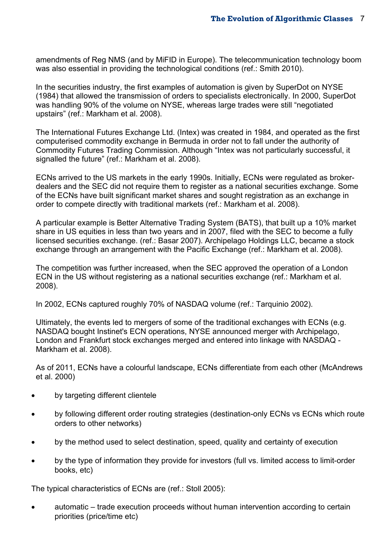amendments of Reg NMS (and by MiFID in Europe). The telecommunication technology boom was also essential in providing the technological conditions (ref.: Smith 2010).

In the securities industry, the first examples of automation is given by SuperDot on NYSE (1984) that allowed the transmission of orders to specialists electronically. In 2000, SuperDot was handling 90% of the volume on NYSE, whereas large trades were still "negotiated upstairs" (ref.: Markham et al. 2008).

The International Futures Exchange Ltd. (Intex) was created in 1984, and operated as the first computerised commodity exchange in Bermuda in order not to fall under the authority of Commodity Futures Trading Commission. Although "Intex was not particularly successful, it signalled the future" (ref.: Markham et al. 2008).

ECNs arrived to the US markets in the early 1990s. Initially, ECNs were regulated as brokerdealers and the SEC did not require them to register as a national securities exchange. Some of the ECNs have built significant market shares and sought registration as an exchange in order to compete directly with traditional markets (ref.: Markham et al. 2008).

A particular example is Better Alternative Trading System (BATS), that built up a 10% market share in US equities in less than two years and in 2007, filed with the SEC to become a fully licensed securities exchange. (ref.: Basar 2007). Archipelago Holdings LLC, became a stock exchange through an arrangement with the Pacific Exchange (ref.: Markham et al. 2008).

The competition was further increased, when the SEC approved the operation of a London ECN in the US without registering as a national securities exchange (ref.: Markham et al. 2008).

In 2002, ECNs captured roughly 70% of NASDAQ volume (ref.: Tarquinio 2002).

Ultimately, the events led to mergers of some of the traditional exchanges with ECNs (e.g. NASDAQ bought Instinet's ECN operations, NYSE announced merger with Archipelago, London and Frankfurt stock exchanges merged and entered into linkage with NASDAQ - Markham et al. 2008).

As of 2011, ECNs have a colourful landscape, ECNs differentiate from each other (McAndrews et al. 2000)

- by targeting different clientele
- by following different order routing strategies (destination-only ECNs vs ECNs which route orders to other networks)
- by the method used to select destination, speed, quality and certainty of execution
- by the type of information they provide for investors (full vs. limited access to limit-order books, etc)

The typical characteristics of ECNs are (ref.: Stoll 2005):

 automatic – trade execution proceeds without human intervention according to certain priorities (price/time etc)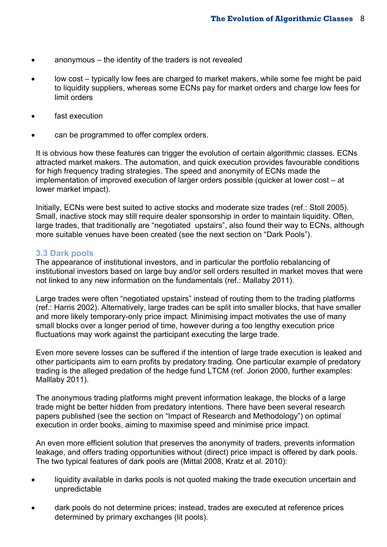- anonymous the identity of the traders is not revealed
- low cost typically low fees are charged to market makers, while some fee might be paid to liquidity suppliers, whereas some ECNs pay for market orders and charge low fees for limit orders
- fast execution
- can be programmed to offer complex orders.

It is obvious how these features can trigger the evolution of certain algorithmic classes. ECNs attracted market makers. The automation, and quick execution provides favourable conditions for high frequency trading strategies. The speed and anonymity of ECNs made the implementation of improved execution of larger orders possible (quicker at lower cost – at lower market impact).

Initially, ECNs were best suited to active stocks and moderate size trades (ref.: Stoll 2005). Small, inactive stock may still require dealer sponsorship in order to maintain liquidity. Often, large trades, that traditionally are "negotiated upstairs", also found their way to ECNs, although more suitable venues have been created (see the next section on "Dark Pools").

#### <span id="page-8-0"></span>**3.3 Dark pools**

The appearance of institutional investors, and in particular the portfolio rebalancing of institutional investors based on large buy and/or sell orders resulted in market moves that were not linked to any new information on the fundamentals (ref.: Mallaby 2011).

Large trades were often "negotiated upstairs" instead of routing them to the trading platforms (ref.: Harris 2002). Alternatively, large trades can be split into smaller blocks, that have smaller and more likely temporary-only price impact. Minimising impact motivates the use of many small blocks over a longer period of time, however during a too lengthy execution price fluctuations may work against the participant executing the large trade.

Even more severe losses can be suffered if the intention of large trade execution is leaked and other participants aim to earn profits by predatory trading. One particular example of predatory trading is the alleged predation of the hedge fund LTCM (ref. Jorion 2000, further examples: Malllaby 2011).

The anonymous trading platforms might prevent information leakage, the blocks of a large trade might be better hidden from predatory intentions. There have been several research papers published (see the section on "Impact of Research and Methodology") on optimal execution in order books, aiming to maximise speed and minimise price impact.

An even more efficient solution that preserves the anonymity of traders, prevents information leakage, and offers trading opportunities without (direct) price impact is offered by dark pools. The two typical features of dark pools are (Mittal 2008, Kratz et al. 2010):

- liquidity available in darks pools is not quoted making the trade execution uncertain and unpredictable
- dark pools do not determine prices; instead, trades are executed at reference prices determined by primary exchanges (lit pools).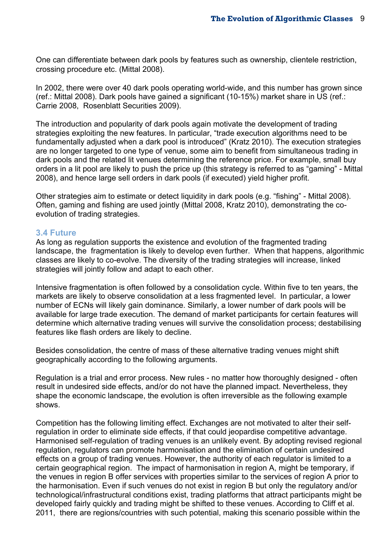One can differentiate between dark pools by features such as ownership, clientele restriction, crossing procedure etc. (Mittal 2008).

In 2002, there were over 40 dark pools operating world-wide, and this number has grown since (ref.: Mittal 2008). Dark pools have gained a significant (10-15%) market share in US (ref.: Carrie 2008, Rosenblatt Securities 2009).

The introduction and popularity of dark pools again motivate the development of trading strategies exploiting the new features. In particular, "trade execution algorithms need to be fundamentally adjusted when a dark pool is introduced" (Kratz 2010). The execution strategies are no longer targeted to one type of venue, some aim to benefit from simultaneous trading in dark pools and the related lit venues determining the reference price. For example, small buy orders in a lit pool are likely to push the price up (this strategy is referred to as "gaming" - Mittal 2008), and hence large sell orders in dark pools (if executed) yield higher profit.

Other strategies aim to estimate or detect liquidity in dark pools (e.g. "fishing" - Mittal 2008). Often, gaming and fishing are used jointly (Mittal 2008, Kratz 2010), demonstrating the coevolution of trading strategies.

#### <span id="page-9-0"></span>**3.4 Future**

As long as regulation supports the existence and evolution of the fragmented trading landscape, the fragmentation is likely to develop even further. When that happens, algorithmic classes are likely to co-evolve. The diversity of the trading strategies will increase, linked strategies will jointly follow and adapt to each other.

Intensive fragmentation is often followed by a consolidation cycle. Within five to ten years, the markets are likely to observe consolidation at a less fragmented level. In particular, a lower number of ECNs will likely gain dominance. Similarly, a lower number of dark pools will be available for large trade execution. The demand of market participants for certain features will determine which alternative trading venues will survive the consolidation process; destabilising features like flash orders are likely to decline.

Besides consolidation, the centre of mass of these alternative trading venues might shift geographically according to the following arguments.

Regulation is a trial and error process. New rules - no matter how thoroughly designed - often result in undesired side effects, and/or do not have the planned impact. Nevertheless, they shape the economic landscape, the evolution is often irreversible as the following example shows.

Competition has the following limiting effect. Exchanges are not motivated to alter their selfregulation in order to eliminate side effects, if that could jeopardise competitive advantage. Harmonised self-regulation of trading venues is an unlikely event. By adopting revised regional regulation, regulators can promote harmonisation and the elimination of certain undesired effects on a group of trading venues. However, the authority of each regulator is limited to a certain geographical region. The impact of harmonisation in region A, might be temporary, if the venues in region B offer services with properties similar to the services of region A prior to the harmonisation. Even if such venues do not exist in region B but only the regulatory and/or technological/infrastructural conditions exist, trading platforms that attract participants might be developed fairly quickly and trading might be shifted to these venues. According to Cliff et al. 2011, there are regions/countries with such potential, making this scenario possible within the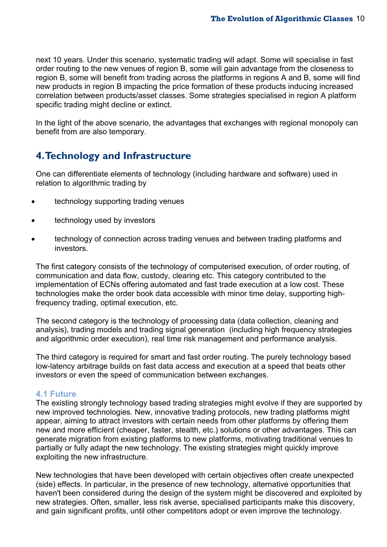next 10 years. Under this scenario, systematic trading will adapt. Some will specialise in fast order routing to the new venues of region B, some will gain advantage from the closeness to region B, some will benefit from trading across the platforms in regions A and B, some will find new products in region B impacting the price formation of these products inducing increased correlation between products/asset classes. Some strategies specialised in region A platform specific trading might decline or extinct.

In the light of the above scenario, the advantages that exchanges with regional monopoly can benefit from are also temporary.

## <span id="page-10-0"></span>**4. Technology and Infrastructure**

One can differentiate elements of technology (including hardware and software) used in relation to algorithmic trading by

- technology supporting trading venues
- technology used by investors
- technology of connection across trading venues and between trading platforms and investors.

The first category consists of the technology of computerised execution, of order routing, of communication and data flow, custody, clearing etc. This category contributed to the implementation of ECNs offering automated and fast trade execution at a low cost. These technologies make the order book data accessible with minor time delay, supporting highfrequency trading, optimal execution, etc.

The second category is the technology of processing data (data collection, cleaning and analysis), trading models and trading signal generation (including high frequency strategies and algorithmic order execution), real time risk management and performance analysis.

The third category is required for smart and fast order routing. The purely technology based low-latency arbitrage builds on fast data access and execution at a speed that beats other investors or even the speed of communication between exchanges.

### <span id="page-10-1"></span>**4.1 Future**

The existing strongly technology based trading strategies might evolve if they are supported by new improved technologies. New, innovative trading protocols, new trading platforms might appear, aiming to attract investors with certain needs from other platforms by offering them new and more efficient (cheaper, faster, stealth, etc.) solutions or other advantages. This can generate migration from existing platforms to new platforms, motivating traditional venues to partially or fully adapt the new technology. The existing strategies might quickly improve exploiting the new infrastructure.

New technologies that have been developed with certain objectives often create unexpected (side) effects. In particular, in the presence of new technology, alternative opportunities that haven't been considered during the design of the system might be discovered and exploited by new strategies. Often, smaller, less risk averse, specialised participants make this discovery, and gain significant profits, until other competitors adopt or even improve the technology.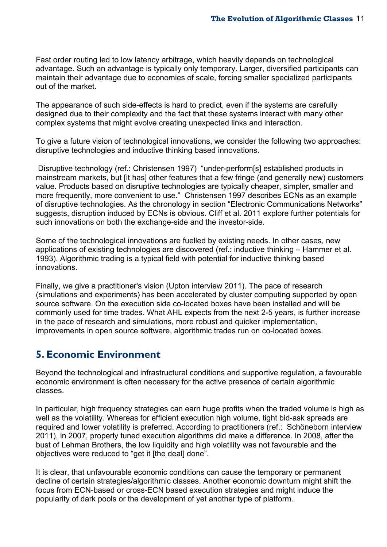Fast order routing led to low latency arbitrage, which heavily depends on technological advantage. Such an advantage is typically only temporary. Larger, diversified participants can maintain their advantage due to economies of scale, forcing smaller specialized participants out of the market.

The appearance of such side-effects is hard to predict, even if the systems are carefully designed due to their complexity and the fact that these systems interact with many other complex systems that might evolve creating unexpected links and interaction.

To give a future vision of technological innovations, we consider the following two approaches: disruptive technologies and inductive thinking based innovations.

 Disruptive technology (ref.: Christensen 1997) "under-perform[s] established products in mainstream markets, but [it has] other features that a few fringe (and generally new) customers value. Products based on disruptive technologies are typically cheaper, simpler, smaller and more frequently, more convenient to use." Christensen 1997 describes ECNs as an example of disruptive technologies. As the chronology in section "Electronic Communications Networks" suggests, disruption induced by ECNs is obvious. Cliff et al. 2011 explore further potentials for such innovations on both the exchange-side and the investor-side.

Some of the technological innovations are fuelled by existing needs. In other cases, new applications of existing technologies are discovered (ref.: inductive thinking – Hammer et al. 1993). Algorithmic trading is a typical field with potential for inductive thinking based innovations.

Finally, we give a practitioner's vision (Upton interview 2011). The pace of research (simulations and experiments) has been accelerated by cluster computing supported by open source software. On the execution side co-located boxes have been installed and will be commonly used for time trades. What AHL expects from the next 2-5 years, is further increase in the pace of research and simulations, more robust and quicker implementation, improvements in open source software, algorithmic trades run on co-located boxes.

## <span id="page-11-0"></span>**5. Economic Environment**

Beyond the technological and infrastructural conditions and supportive regulation, a favourable economic environment is often necessary for the active presence of certain algorithmic classes.

In particular, high frequency strategies can earn huge profits when the traded volume is high as well as the volatility. Whereas for efficient execution high volume, tight bid-ask spreads are required and lower volatility is preferred. According to practitioners (ref.: Schöneborn interview 2011), in 2007, properly tuned execution algorithms did make a difference. In 2008, after the bust of Lehman Brothers, the low liquidity and high volatility was not favourable and the objectives were reduced to "get it [the deal] done".

It is clear, that unfavourable economic conditions can cause the temporary or permanent decline of certain strategies/algorithmic classes. Another economic downturn might shift the focus from ECN-based or cross-ECN based execution strategies and might induce the popularity of dark pools or the development of yet another type of platform.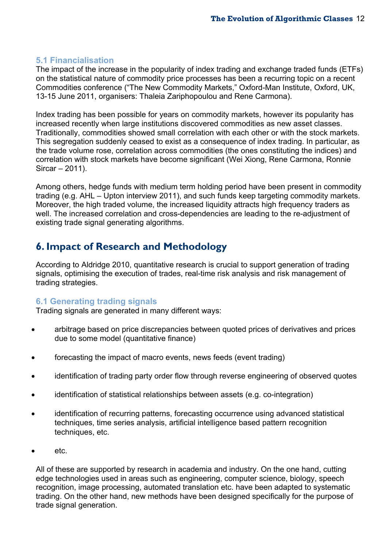## <span id="page-12-0"></span>**5.1 Financialisation**

The impact of the increase in the popularity of index trading and exchange traded funds (ETFs) on the statistical nature of commodity price processes has been a recurring topic on a recent Commodities conference ("The New Commodity Markets," Oxford-Man Institute, Oxford, UK, 13-15 June 2011, organisers: Thaleia Zariphopoulou and Rene Carmona).

Index trading has been possible for years on commodity markets, however its popularity has increased recently when large institutions discovered commodities as new asset classes. Traditionally, commodities showed small correlation with each other or with the stock markets. This segregation suddenly ceased to exist as a consequence of index trading. In particular, as the trade volume rose, correlation across commodities (the ones constituting the indices) and correlation with stock markets have become significant (Wei Xiong, Rene Carmona, Ronnie Sircar – 2011).

Among others, hedge funds with medium term holding period have been present in commodity trading (e.g. AHL – Upton interview 2011), and such funds keep targeting commodity markets. Moreover, the high traded volume, the increased liquidity attracts high frequency traders as well. The increased correlation and cross-dependencies are leading to the re-adjustment of existing trade signal generating algorithms.

## <span id="page-12-1"></span>**6. Impact of Research and Methodology**

According to Aldridge 2010, quantitative research is crucial to support generation of trading signals, optimising the execution of trades, real-time risk analysis and risk management of trading strategies.

## <span id="page-12-2"></span>**6.1 Generating trading signals**

Trading signals are generated in many different ways:

- arbitrage based on price discrepancies between quoted prices of derivatives and prices due to some model (quantitative finance)
- forecasting the impact of macro events, news feeds (event trading)
- identification of trading party order flow through reverse engineering of observed quotes
- identification of statistical relationships between assets (e.g. co-integration)
- identification of recurring patterns, forecasting occurrence using advanced statistical techniques, time series analysis, artificial intelligence based pattern recognition techniques, etc.
- etc.

All of these are supported by research in academia and industry. On the one hand, cutting edge technologies used in areas such as engineering, computer science, biology, speech recognition, image processing, automated translation etc. have been adapted to systematic trading. On the other hand, new methods have been designed specifically for the purpose of trade signal generation.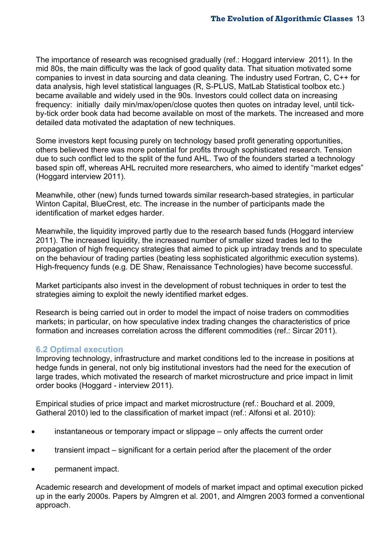The importance of research was recognised gradually (ref.: Hoggard interview 2011). In the mid 80s, the main difficulty was the lack of good quality data. That situation motivated some companies to invest in data sourcing and data cleaning. The industry used Fortran, C, C++ for data analysis, high level statistical languages (R, S-PLUS, MatLab Statistical toolbox etc.) became available and widely used in the 90s. Investors could collect data on increasing frequency: initially daily min/max/open/close quotes then quotes on intraday level, until tickby-tick order book data had become available on most of the markets. The increased and more detailed data motivated the adaptation of new techniques.

Some investors kept focusing purely on technology based profit generating opportunities, others believed there was more potential for profits through sophisticated research. Tension due to such conflict led to the split of the fund AHL. Two of the founders started a technology based spin off, whereas AHL recruited more researchers, who aimed to identify "market edges" (Hoggard interview 2011).

Meanwhile, other (new) funds turned towards similar research-based strategies, in particular Winton Capital, BlueCrest, etc. The increase in the number of participants made the identification of market edges harder.

Meanwhile, the liquidity improved partly due to the research based funds (Hoggard interview 2011). The increased liquidity, the increased number of smaller sized trades led to the propagation of high frequency strategies that aimed to pick up intraday trends and to speculate on the behaviour of trading parties (beating less sophisticated algorithmic execution systems). High-frequency funds (e.g. DE Shaw, Renaissance Technologies) have become successful.

Market participants also invest in the development of robust techniques in order to test the strategies aiming to exploit the newly identified market edges.

Research is being carried out in order to model the impact of noise traders on commodities markets; in particular, on how speculative index trading changes the characteristics of price formation and increases correlation across the different commodities (ref.: Sircar 2011).

### <span id="page-13-0"></span>**6.2 Optimal execution**

Improving technology, infrastructure and market conditions led to the increase in positions at hedge funds in general, not only big institutional investors had the need for the execution of large trades, which motivated the research of market microstructure and price impact in limit order books (Hoggard - interview 2011).

Empirical studies of price impact and market microstructure (ref.: Bouchard et al. 2009, Gatheral 2010) led to the classification of market impact (ref.: Alfonsi et al. 2010):

- instantaneous or temporary impact or slippage only affects the current order
- transient impact significant for a certain period after the placement of the order
- permanent impact.

Academic research and development of models of market impact and optimal execution picked up in the early 2000s. Papers by Almgren et al. 2001, and Almgren 2003 formed a conventional approach.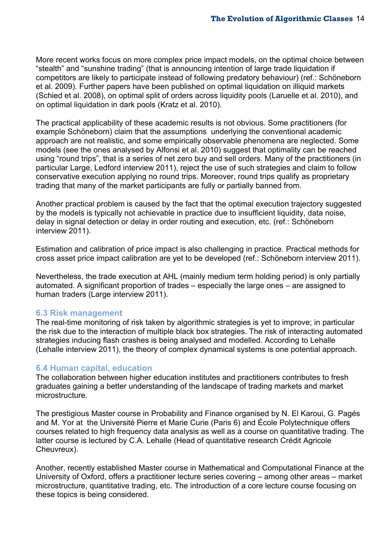More recent works focus on more complex price impact models, on the optimal choice between "stealth" and "sunshine trading" (that is announcing intention of large trade liquidation if competitors are likely to participate instead of following predatory behaviour) (ref.: Schöneborn et al. 2009). Further papers have been published on optimal liquidation on illiquid markets (Schied et al. 2008), on optimal split of orders across liquidity pools (Laruelle et al. 2010), and on optimal liquidation in dark pools (Kratz et al. 2010).

The practical applicability of these academic results is not obvious. Some practitioners (for example Schöneborn) claim that the assumptions underlying the conventional academic approach are not realistic, and some empirically observable phenomena are neglected. Some models (see the ones analysed by Alfonsi et al. 2010) suggest that optimality can be reached using "round trips", that is a series of net zero buy and sell orders. Many of the practitioners (in particular Large, Ledford interview 2011), reject the use of such strategies and claim to follow conservative execution applying no round trips. Moreover, round trips qualify as proprietary trading that many of the market participants are fully or partially banned from.

Another practical problem is caused by the fact that the optimal execution trajectory suggested by the models is typically not achievable in practice due to insufficient liquidity, data noise, delay in signal detection or delay in order routing and execution, etc. (ref.: Schöneborn interview 2011).

Estimation and calibration of price impact is also challenging in practice. Practical methods for cross asset price impact calibration are yet to be developed (ref.: Schöneborn interview 2011).

Nevertheless, the trade execution at AHL (mainly medium term holding period) is only partially automated. A significant proportion of trades – especially the large ones – are assigned to human traders (Large interview 2011).

### <span id="page-14-0"></span>**6.3 Risk management**

The real-time monitoring of risk taken by algorithmic strategies is yet to improve; in particular the risk due to the interaction of multiple black box strategies. The risk of interacting automated strategies inducing flash crashes is being analysed and modelled. According to Lehalle (Lehalle interview 2011), the theory of complex dynamical systems is one potential approach.

#### <span id="page-14-1"></span>**6.4 Human capital, education**

The collaboration between higher education institutes and practitioners contributes to fresh graduates gaining a better understanding of the landscape of trading markets and market microstructure.

The prestigious Master course in Probability and Finance organised by N. El Karoui, G. Pagés and M. Yor at the Université Pierre et Marie Curie (Paris 6) and École Polytechnique offers courses related to high frequency data analysis as well as a course on quantitative trading. The latter course is lectured by C.A. Lehalle (Head of quantitative research Crédit Agricole Cheuvreux).

Another, recently established Master course in Mathematical and Computational Finance at the University of Oxford, offers a practitioner lecture series covering – among other areas – market microstructure, quantitative trading, etc. The introduction of a core lecture course focusing on these topics is being considered.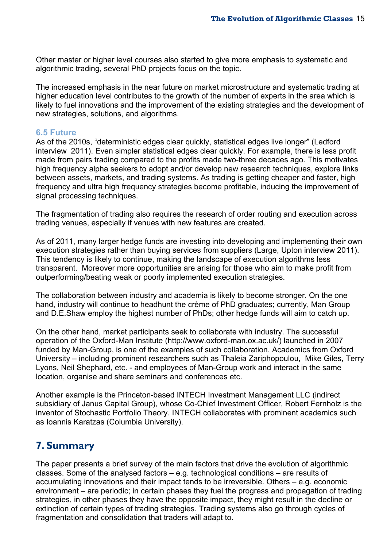Other master or higher level courses also started to give more emphasis to systematic and algorithmic trading, several PhD projects focus on the topic.

The increased emphasis in the near future on market microstructure and systematic trading at higher education level contributes to the growth of the number of experts in the area which is likely to fuel innovations and the improvement of the existing strategies and the development of new strategies, solutions, and algorithms.

### <span id="page-15-0"></span>**6.5 Future**

As of the 2010s, "deterministic edges clear quickly, statistical edges live longer" (Ledford interview 2011). Even simpler statistical edges clear quickly. For example, there is less profit made from pairs trading compared to the profits made two-three decades ago. This motivates high frequency alpha seekers to adopt and/or develop new research techniques, explore links between assets, markets, and trading systems. As trading is getting cheaper and faster, high frequency and ultra high frequency strategies become profitable, inducing the improvement of signal processing techniques.

The fragmentation of trading also requires the research of order routing and execution across trading venues, especially if venues with new features are created.

As of 2011, many larger hedge funds are investing into developing and implementing their own execution strategies rather than buying services from suppliers (Large, Upton interview 2011). This tendency is likely to continue, making the landscape of execution algorithms less transparent. Moreover more opportunities are arising for those who aim to make profit from outperforming/beating weak or poorly implemented execution strategies.

The collaboration between industry and academia is likely to become stronger. On the one hand, industry will continue to headhunt the crème of PhD graduates; currently, Man Group and D.E.Shaw employ the highest number of PhDs; other hedge funds will aim to catch up.

On the other hand, market participants seek to collaborate with industry. The successful operation of the Oxford-Man Institute (http://www.oxford-man.ox.ac.uk/) launched in 2007 funded by Man-Group, is one of the examples of such collaboration. Academics from Oxford University – including prominent researchers such as Thaleia Zariphopoulou, Mike Giles, Terry Lyons, Neil Shephard, etc. - and employees of Man-Group work and interact in the same location, organise and share seminars and conferences etc.

Another example is the Princeton-based INTECH Investment Management LLC (indirect subsidiary of Janus Capital Group), whose Co-Chief Investment Officer, Robert Fernholz is the inventor of Stochastic Portfolio Theory. INTECH collaborates with prominent academics such as Ioannis Karatzas (Columbia University).

## <span id="page-15-1"></span>**7. Summary**

The paper presents a brief survey of the main factors that drive the evolution of algorithmic classes. Some of the analysed factors – e.g. technological conditions – are results of accumulating innovations and their impact tends to be irreversible. Others – e.g. economic environment – are periodic; in certain phases they fuel the progress and propagation of trading strategies, in other phases they have the opposite impact, they might result in the decline or extinction of certain types of trading strategies. Trading systems also go through cycles of fragmentation and consolidation that traders will adapt to.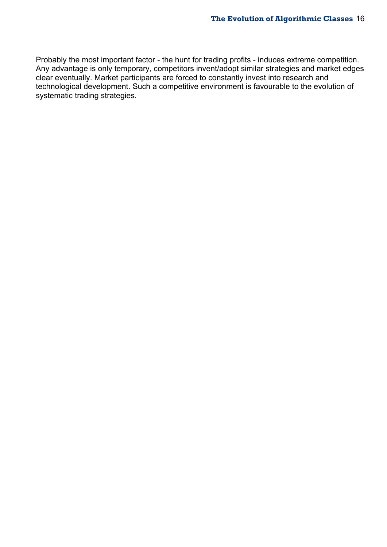Probably the most important factor - the hunt for trading profits - induces extreme competition. Any advantage is only temporary, competitors invent/adopt similar strategies and market edges clear eventually. Market participants are forced to constantly invest into research and technological development. Such a competitive environment is favourable to the evolution of systematic trading strategies.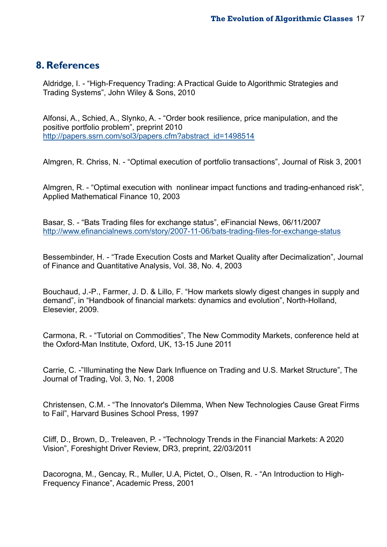## <span id="page-17-0"></span>**8. References**

Aldridge, I. - "High-Frequency Trading: A Practical Guide to Algorithmic Strategies and Trading Systems", John Wiley & Sons, 2010

Alfonsi, A., Schied, A., Slynko, A. - "Order book resilience, price manipulation, and the positive portfolio problem", preprint 2010 [http://papers.ssrn.com/sol3/papers.cfm?abstract\\_id=1498514](http://papers.ssrn.com/sol3/papers.cfm?abstract_id=1498514)

Almgren, R. Chriss, N. - "Optimal execution of portfolio transactions", Journal of Risk 3, 2001

Almgren, R. - "Optimal execution with nonlinear impact functions and trading-enhanced risk", Applied Mathematical Finance 10, 2003

Basar, S. - "Bats Trading files for exchange status", eFinancial News, 06/11/2007 <http://www.efinancialnews.com/story/2007-11-06/bats-trading-files-for-exchange-status>

Bessembinder, H. - "Trade Execution Costs and Market Quality after Decimalization", Journal of Finance and Quantitative Analysis, Vol. 38, No. 4, 2003

Bouchaud, J.-P., Farmer, J. D. & Lillo, F. "How markets slowly digest changes in supply and demand", in "Handbook of financial markets: dynamics and evolution", North-Holland, Elesevier, 2009.

Carmona, R. - "Tutorial on Commodities", The New Commodity Markets, conference held at the Oxford-Man Institute, Oxford, UK, 13-15 June 2011

Carrie, C. -"Illuminating the New Dark Influence on Trading and U.S. Market Structure", The Journal of Trading, Vol. 3, No. 1, 2008

Christensen, C.M. - "The Innovator's Dilemma, When New Technologies Cause Great Firms to Fail", Harvard Busines School Press, 1997

Cliff, D., Brown, D,. Treleaven, P. - "Technology Trends in the Financial Markets: A 2020 Vision", Foreshight Driver Review, DR3, preprint, 22/03/2011

Dacorogna, M., Gencay, R., Muller, U.A, Pictet, O., Olsen, R. - "An Introduction to High-Frequency Finance", Academic Press, 2001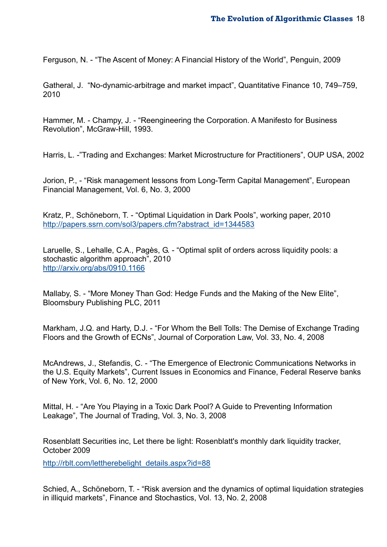Ferguson, N. - "The Ascent of Money: A Financial History of the World", Penguin, 2009

Gatheral, J. "No-dynamic-arbitrage and market impact", Quantitative Finance 10, 749–759, 2010

Hammer, M. - Champy, J. - "Reengineering the Corporation. A Manifesto for Business Revolution", McGraw-Hill, 1993.

Harris, L. -"Trading and Exchanges: Market Microstructure for Practitioners", OUP USA, 2002

Jorion, P., - "Risk management lessons from Long-Term Capital Management", European Financial Management, Vol. 6, No. 3, 2000

Kratz, P., Schöneborn, T. - "Optimal Liquidation in Dark Pools", working paper, 2010 [http://papers.ssrn.com/sol3/papers.cfm?abstract\\_id=1344583](http://papers.ssrn.com/sol3/papers.cfm?abstract_id=1344583)

Laruelle, S., Lehalle, C.A., Pagès, G. - "Optimal split of orders across liquidity pools: a stochastic algorithm approach", 2010 <http://arxiv.org/abs/0910.1166>

Mallaby, S. - "More Money Than God: Hedge Funds and the Making of the New Elite", Bloomsbury Publishing PLC, 2011

Markham, J.Q. and Harty, D.J. - "For Whom the Bell Tolls: The Demise of Exchange Trading Floors and the Growth of ECNs", Journal of Corporation Law, Vol. 33, No. 4, 2008

McAndrews, J., Stefandis, C. - "The Emergence of Electronic Communications Networks in the U.S. Equity Markets", Current Issues in Economics and Finance, Federal Reserve banks of New York, Vol. 6, No. 12, 2000

Mittal, H. - "Are You Playing in a Toxic Dark Pool? A Guide to Preventing Information Leakage", The Journal of Trading, Vol. 3, No. 3, 2008

Rosenblatt Securities inc, Let there be light: Rosenblatt's monthly dark liquidity tracker, October 2009

http://rblt.com/lettherebelight\_details.aspx?id=88

Schied, A., Schöneborn, T. - "Risk aversion and the dynamics of optimal liquidation strategies in illiquid markets", Finance and Stochastics, Vol. 13, No. 2, 2008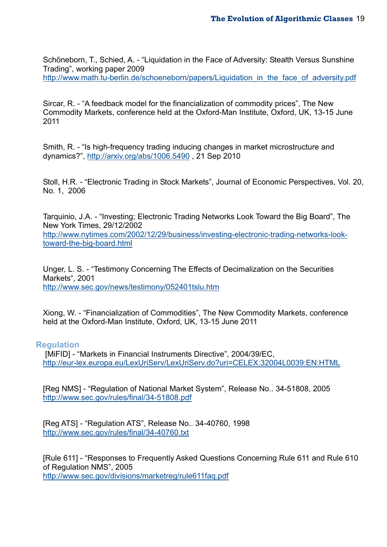Schöneborn, T., Schied, A. - "Liquidation in the Face of Adversity: Stealth Versus Sunshine Trading", working paper 2009 [http://www.math.tu-berlin.de/schoeneborn/papers/Liquidation\\_in\\_the\\_face\\_of\\_adversity.pdf](http://www.math.tu-berlin.de/schoeneborn/papers/Liquidation_in_the_face_of_adversity.pdf)

Sircar, R. - "A feedback model for the financialization of commodity prices", The New Commodity Markets, conference held at the Oxford-Man Institute, Oxford, UK, 13-15 June 2011

Smith, R. - "Is high-frequency trading inducing changes in market microstructure and dynamics?",<http://arxiv.org/abs/1006.5490> , 21 Sep 2010

Stoll, H.R. - "Electronic Trading in Stock Markets", Journal of Economic Perspectives, Vol. 20, No. 1, 2006

Tarquinio, J.A. - "Investing; Electronic Trading Networks Look Toward the Big Board", The New York Times, 29/12/2002 [http://www.nytimes.com/2002/12/29/business/investing-electronic-trading-networks-look](http://www.nytimes.com/2002/12/29/business/investing-electronic-trading-networks-look-toward-the-big-board.html)[toward-the-big-board.html](http://www.nytimes.com/2002/12/29/business/investing-electronic-trading-networks-look-toward-the-big-board.html)

Unger, L. S. - "Testimony Concerning The Effects of Decimalization on the Securities Markets", 2001 <http://www.sec.gov/news/testimony/052401tslu.htm>

Xiong, W. - "Financialization of Commodities", The New Commodity Markets, conference held at the Oxford-Man Institute, Oxford, UK, 13-15 June 2011

#### <span id="page-19-0"></span>**Regulation**

 [MiFID] - "Markets in Financial Instruments Directive", 2004/39/EC, <http://eur-lex.europa.eu/LexUriServ/LexUriServ.do?uri=CELEX:32004L0039:EN:HTML>

[Reg NMS] - "Regulation of National Market System", Release No.. 34-51808, 2005 <http://www.sec.gov/rules/final/34-51808.pdf>

[Reg ATS] - "Regulation ATS", Release No.. 34-40760, 1998 <http://www.sec.gov/rules/final/34-40760.txt>

[Rule 611] - "Responses to Frequently Asked Questions Concerning Rule 611 and Rule 610 of Regulation NMS", 2005 <http://www.sec.gov/divisions/marketreg/rule611faq.pdf>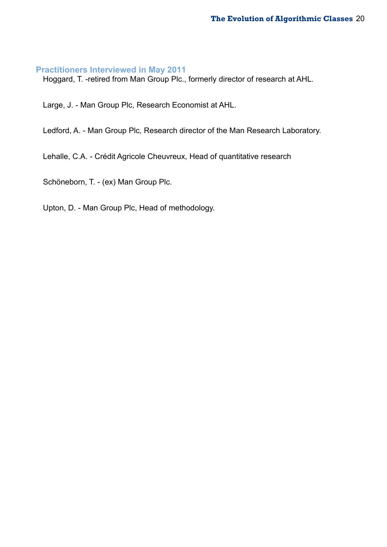## <span id="page-20-0"></span>**Practitioners Interviewed in May 2011**

Hoggard, T. -retired from Man Group Plc., formerly director of research at AHL.

Large, J. - Man Group Plc, Research Economist at AHL.

Ledford, A. - Man Group Plc, Research director of the Man Research Laboratory.

Lehalle, C.A. - Crédit Agricole Cheuvreux, Head of quantitative research

Schöneborn, T. - (ex) Man Group Plc.

Upton, D. - Man Group Plc, Head of methodology.